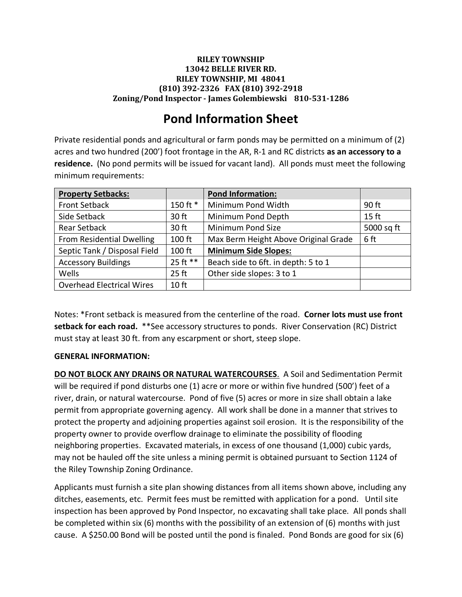## **RILEY TOWNSHIP 13042 BELLE RIVER RD. RILEY TOWNSHIP, MI 48041 (810) 392-2326 FAX (810) 392-2918 Zoning/Pond Inspector - James Golembiewski 810-531-1286**

## **Pond Information Sheet**

Private residential ponds and agricultural or farm ponds may be permitted on a minimum of (2) acres and two hundred (200') foot frontage in the AR, R-1 and RC districts **as an accessory to a residence.** (No pond permits will be issued for vacant land). All ponds must meet the following minimum requirements:

| <b>Property Setbacks:</b>        |                  | <b>Pond Information:</b>             |            |
|----------------------------------|------------------|--------------------------------------|------------|
| <b>Front Setback</b>             | 150 ft *         | Minimum Pond Width                   | 90 ft      |
| Side Setback                     | 30 ft            | Minimum Pond Depth                   | $15$ ft    |
| <b>Rear Setback</b>              | 30 ft            | Minimum Pond Size                    | 5000 sq ft |
| From Residential Dwelling        | 100 ft           | Max Berm Height Above Original Grade | 6 ft       |
| Septic Tank / Disposal Field     | 100 ft           | <b>Minimum Side Slopes:</b>          |            |
| <b>Accessory Buildings</b>       | 25 ft **         | Beach side to 6ft. in depth: 5 to 1  |            |
| Wells                            | $25$ ft          | Other side slopes: 3 to 1            |            |
| <b>Overhead Electrical Wires</b> | 10 <sub>ft</sub> |                                      |            |

Notes: \*Front setback is measured from the centerline of the road. **Corner lots must use front setback for each road.** \*\*See accessory structures to ponds. River Conservation (RC) District must stay at least 30 ft. from any escarpment or short, steep slope.

## **GENERAL INFORMATION:**

**DO NOT BLOCK ANY DRAINS OR NATURAL WATERCOURSES**. A Soil and Sedimentation Permit will be required if pond disturbs one (1) acre or more or within five hundred (500') feet of a river, drain, or natural watercourse. Pond of five (5) acres or more in size shall obtain a lake permit from appropriate governing agency. All work shall be done in a manner that strives to protect the property and adjoining properties against soil erosion. It is the responsibility of the property owner to provide overflow drainage to eliminate the possibility of flooding neighboring properties. Excavated materials, in excess of one thousand (1,000) cubic yards, may not be hauled off the site unless a mining permit is obtained pursuant to Section 1124 of the Riley Township Zoning Ordinance.

Applicants must furnish a site plan showing distances from all items shown above, including any ditches, easements, etc. Permit fees must be remitted with application for a pond. Until site inspection has been approved by Pond Inspector, no excavating shall take place. All ponds shall be completed within six (6) months with the possibility of an extension of (6) months with just cause. A \$250.00 Bond will be posted until the pond is finaled. Pond Bonds are good for six (6)